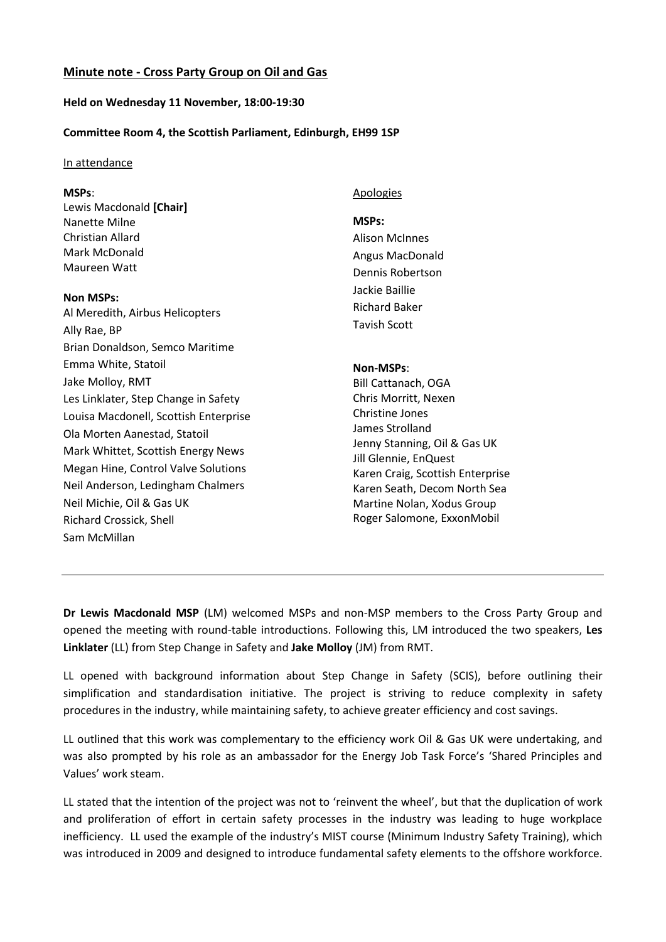# **Minute note - Cross Party Group on Oil and Gas**

# **Held on Wednesday 11 November, 18:00-19:30**

# **Committee Room 4, the Scottish Parliament, Edinburgh, EH99 1SP**

### In attendance

## **MSPs**:

Lewis Macdonald **[Chair]** Nanette Milne Christian Allard Mark McDonald Maureen Watt

#### **Non MSPs:**

Al Meredith, Airbus Helicopters Ally Rae, BP Brian Donaldson, Semco Maritime Emma White, Statoil Jake Molloy, RMT Les Linklater, Step Change in Safety Louisa Macdonell, Scottish Enterprise Ola Morten Aanestad, Statoil Mark Whittet, Scottish Energy News Megan Hine, Control Valve Solutions Neil Anderson, Ledingham Chalmers Neil Michie, Oil & Gas UK Richard Crossick, Shell Sam McMillan

#### **Apologies**

### **MSPs:**

Alison McInnes Angus MacDonald Dennis Robertson Jackie Baillie Richard Baker Tavish Scott

### **Non-MSPs**:

Bill Cattanach, OGA Chris Morritt, Nexen Christine Jones James Strolland Jenny Stanning, Oil & Gas UK Jill Glennie, EnQuest Karen Craig, Scottish Enterprise Karen Seath, Decom North Sea Martine Nolan, Xodus Group Roger Salomone, ExxonMobil

**Dr Lewis Macdonald MSP** (LM) welcomed MSPs and non-MSP members to the Cross Party Group and opened the meeting with round-table introductions. Following this, LM introduced the two speakers, **Les Linklater** (LL) from Step Change in Safety and **Jake Molloy** (JM) from RMT.

LL opened with background information about Step Change in Safety (SCIS), before outlining their simplification and standardisation initiative. The project is striving to reduce complexity in safety procedures in the industry, while maintaining safety, to achieve greater efficiency and cost savings.

LL outlined that this work was complementary to the efficiency work Oil & Gas UK were undertaking, and was also prompted by his role as an ambassador for the Energy Job Task Force's 'Shared Principles and Values' work steam.

LL stated that the intention of the project was not to 'reinvent the wheel', but that the duplication of work and proliferation of effort in certain safety processes in the industry was leading to huge workplace inefficiency. LL used the example of the industry's MIST course (Minimum Industry Safety Training), which was introduced in 2009 and designed to introduce fundamental safety elements to the offshore workforce.